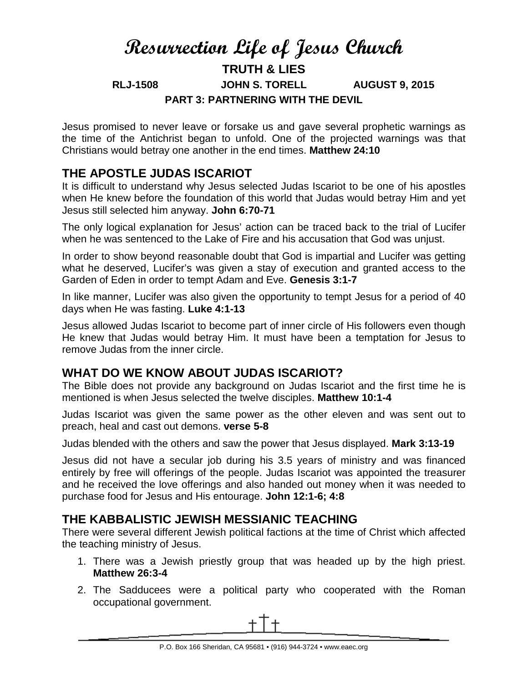# **Resurrection Life of Jesus Church TRUTH & LIES RLJ-1508 JOHN S. TORELL AUGUST 9, 2015 PART 3: PARTNERING WITH THE DEVIL**

Jesus promised to never leave or forsake us and gave several prophetic warnings as the time of the Antichrist began to unfold. One of the projected warnings was that Christians would betray one another in the end times. **Matthew 24:10**

# **THE APOSTLE JUDAS ISCARIOT**

It is difficult to understand why Jesus selected Judas Iscariot to be one of his apostles when He knew before the foundation of this world that Judas would betray Him and yet Jesus still selected him anyway. **John 6:70-71**

The only logical explanation for Jesus' action can be traced back to the trial of Lucifer when he was sentenced to the Lake of Fire and his accusation that God was unjust.

In order to show beyond reasonable doubt that God is impartial and Lucifer was getting what he deserved, Lucifer's was given a stay of execution and granted access to the Garden of Eden in order to tempt Adam and Eve. **Genesis 3:1-7**

In like manner, Lucifer was also given the opportunity to tempt Jesus for a period of 40 days when He was fasting. **Luke 4:1-13**

Jesus allowed Judas Iscariot to become part of inner circle of His followers even though He knew that Judas would betray Him. It must have been a temptation for Jesus to remove Judas from the inner circle.

# **WHAT DO WE KNOW ABOUT JUDAS ISCARIOT?**

The Bible does not provide any background on Judas Iscariot and the first time he is mentioned is when Jesus selected the twelve disciples. **Matthew 10:1-4**

Judas Iscariot was given the same power as the other eleven and was sent out to preach, heal and cast out demons. **verse 5-8**

Judas blended with the others and saw the power that Jesus displayed. **Mark 3:13-19**

Jesus did not have a secular job during his 3.5 years of ministry and was financed entirely by free will offerings of the people. Judas Iscariot was appointed the treasurer and he received the love offerings and also handed out money when it was needed to purchase food for Jesus and His entourage. **John 12:1-6; 4:8**

## **THE KABBALISTIC JEWISH MESSIANIC TEACHING**

There were several different Jewish political factions at the time of Christ which affected the teaching ministry of Jesus.

- 1. There was a Jewish priestly group that was headed up by the high priest. **Matthew 26:3-4**
- 2. The Sadducees were a political party who cooperated with the Roman occupational government.

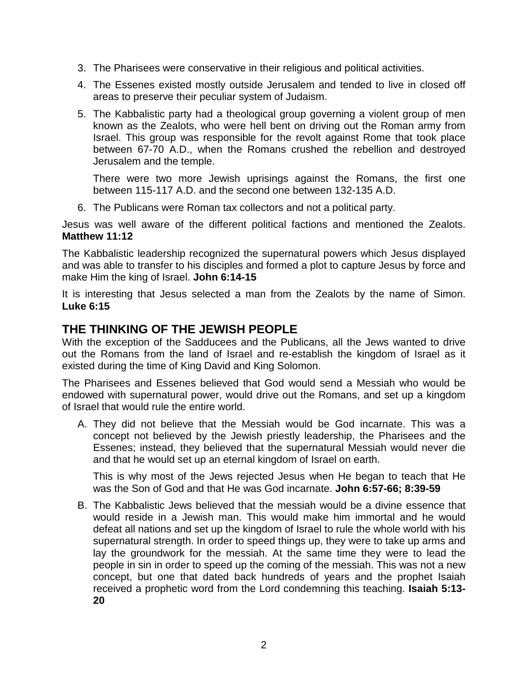- 3. The Pharisees were conservative in their religious and political activities.
- 4. The Essenes existed mostly outside Jerusalem and tended to live in closed off areas to preserve their peculiar system of Judaism.
- 5. The Kabbalistic party had a theological group governing a violent group of men known as the Zealots, who were hell bent on driving out the Roman army from Israel. This group was responsible for the revolt against Rome that took place between 67-70 A.D., when the Romans crushed the rebellion and destroyed Jerusalem and the temple.

There were two more Jewish uprisings against the Romans, the first one between 115-117 A.D. and the second one between 132-135 A.D.

6. The Publicans were Roman tax collectors and not a political party.

Jesus was well aware of the different political factions and mentioned the Zealots. **Matthew 11:12**

The Kabbalistic leadership recognized the supernatural powers which Jesus displayed and was able to transfer to his disciples and formed a plot to capture Jesus by force and make Him the king of Israel. **John 6:14-15**

It is interesting that Jesus selected a man from the Zealots by the name of Simon. **Luke 6:15**

### **THE THINKING OF THE JEWISH PEOPLE**

With the exception of the Sadducees and the Publicans, all the Jews wanted to drive out the Romans from the land of Israel and re-establish the kingdom of Israel as it existed during the time of King David and King Solomon.

The Pharisees and Essenes believed that God would send a Messiah who would be endowed with supernatural power, would drive out the Romans, and set up a kingdom of Israel that would rule the entire world.

A. They did not believe that the Messiah would be God incarnate. This was a concept not believed by the Jewish priestly leadership, the Pharisees and the Essenes; instead, they believed that the supernatural Messiah would never die and that he would set up an eternal kingdom of Israel on earth.

This is why most of the Jews rejected Jesus when He began to teach that He was the Son of God and that He was God incarnate. **John 6:57-66; 8:39-59**

B. The Kabbalistic Jews believed that the messiah would be a divine essence that would reside in a Jewish man. This would make him immortal and he would defeat all nations and set up the kingdom of Israel to rule the whole world with his supernatural strength. In order to speed things up, they were to take up arms and lay the groundwork for the messiah. At the same time they were to lead the people in sin in order to speed up the coming of the messiah. This was not a new concept, but one that dated back hundreds of years and the prophet Isaiah received a prophetic word from the Lord condemning this teaching. **Isaiah 5:13- 20**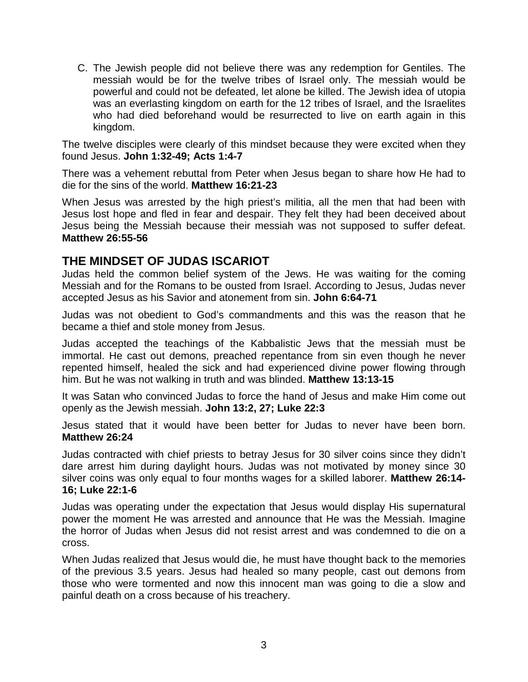C. The Jewish people did not believe there was any redemption for Gentiles. The messiah would be for the twelve tribes of Israel only. The messiah would be powerful and could not be defeated, let alone be killed. The Jewish idea of utopia was an everlasting kingdom on earth for the 12 tribes of Israel, and the Israelites who had died beforehand would be resurrected to live on earth again in this kingdom.

The twelve disciples were clearly of this mindset because they were excited when they found Jesus. **John 1:32-49; Acts 1:4-7**

There was a vehement rebuttal from Peter when Jesus began to share how He had to die for the sins of the world. **Matthew 16:21-23**

When Jesus was arrested by the high priest's militia, all the men that had been with Jesus lost hope and fled in fear and despair. They felt they had been deceived about Jesus being the Messiah because their messiah was not supposed to suffer defeat. **Matthew 26:55-56**

### **THE MINDSET OF JUDAS ISCARIOT**

Judas held the common belief system of the Jews. He was waiting for the coming Messiah and for the Romans to be ousted from Israel. According to Jesus, Judas never accepted Jesus as his Savior and atonement from sin. **John 6:64-71**

Judas was not obedient to God's commandments and this was the reason that he became a thief and stole money from Jesus.

Judas accepted the teachings of the Kabbalistic Jews that the messiah must be immortal. He cast out demons, preached repentance from sin even though he never repented himself, healed the sick and had experienced divine power flowing through him. But he was not walking in truth and was blinded. **Matthew 13:13-15**

It was Satan who convinced Judas to force the hand of Jesus and make Him come out openly as the Jewish messiah. **John 13:2, 27; Luke 22:3**

Jesus stated that it would have been better for Judas to never have been born. **Matthew 26:24**

Judas contracted with chief priests to betray Jesus for 30 silver coins since they didn't dare arrest him during daylight hours. Judas was not motivated by money since 30 silver coins was only equal to four months wages for a skilled laborer. **Matthew 26:14- 16; Luke 22:1-6**

Judas was operating under the expectation that Jesus would display His supernatural power the moment He was arrested and announce that He was the Messiah. Imagine the horror of Judas when Jesus did not resist arrest and was condemned to die on a cross.

When Judas realized that Jesus would die, he must have thought back to the memories of the previous 3.5 years. Jesus had healed so many people, cast out demons from those who were tormented and now this innocent man was going to die a slow and painful death on a cross because of his treachery.